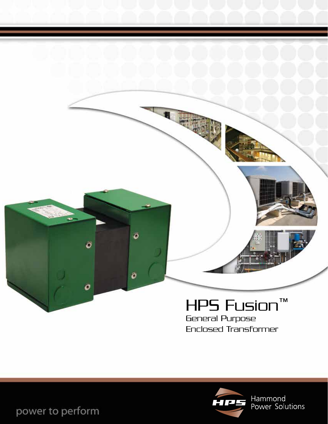

General Purpose Enclosed Transformer



Hammond<br>Power Solutions

power to perform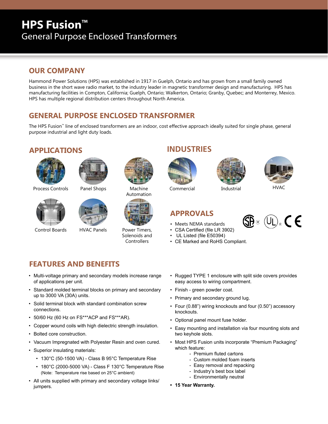## **HPS Fusion™** General Purpose Enclosed Transformers

#### **OUR COMPANY**

Hammond Power Solutions (HPS) was established in 1917 in Guelph, Ontario and has grown from a small family owned business in the short wave radio market, to the industry leader in magnetic transformer design and manufacturing. HPS has manufacturing facilities in Compton, California; Guelph, Ontario; Walkerton, Ontario; Granby, Quebec; and Monterrey, Mexico. HPS has multiple regional distribution centers throughout North America.

#### **GENERAL PURPOSE ENCLOSED TRANSFORMER**

The HPS Fusion™ line of enclosed transformers are an indoor, cost effective approach ideally suited for single phase, general purpose industrial and light duty loads.

#### **APPLICATIONS**





Process Controls Panel Shops Machine



Control Boards HVAC Panels Power Timers,







Automation



Solenoids and **Controllers** 

#### **INDUSTRIES**







Commercial Industrial

#### **APPROVALS**

- Meets NEMA standards
- CSA Certified (file LR 3902)
- UL Listed (file E50394)
- CE Marked and RoHS Compliant.



#### **FEATURES AND BENEFITS**

- Multi-voltage primary and secondary models increase range of applications per unit.
- Standard molded terminal blocks on primary and secondary up to 3000 VA (30A) units.
- Solid terminal block with standard combination screw connections.
- 50/60 Hz (60 Hz on FS\*\*\*ACP and FS\*\*\*AR).
- Copper wound coils with high dielectric strength insulation.
- Bolted core construction.
- Vacuum Impregnated with Polyester Resin and oven cured.
- Superior insulating materials:
	- 130°C (50-1500 VA) Class B 95°C Temperature Rise
	- 180°C (2000-5000 VA) Class F 130°C Temperature Rise (Note: Temperature rise based on 25°C ambient)
- All units supplied with primary and secondary voltage links/ jumpers.
- Rugged TYPE 1 enclosure with split side covers provides easy access to wiring compartment.
- Finish green powder coat.
- Primary and secondary ground lug.
- Four (0.88") wiring knockouts and four (0.50") accessory knockouts.
- Optional panel mount fuse holder.
- Easy mounting and installation via four mounting slots and two keyhole slots.
- Most HPS Fusion units incorporate "Premium Packaging" which feature:
	- Premium fluted cartons
	- Custom molded foam inserts
	- Easy removal and repacking
	- Industry's best box label
	- Environmentally neutral
- **• 15 Year Warranty.**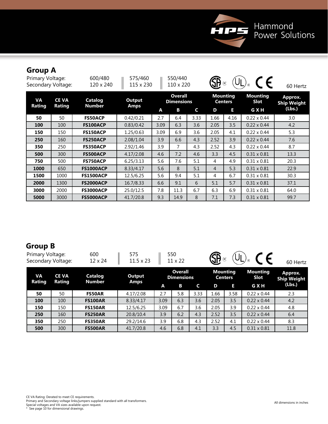

## **Group A**

| Primary Voltage:<br>Secondary Voltage: |                        | 600/480<br>120 x 240            | 575/460<br>115 x 230  |      | 550/440<br>110 x 220                |      | <b>SB</b>      | (R)                               |                         | 60 Hertz                      |
|----------------------------------------|------------------------|---------------------------------|-----------------------|------|-------------------------------------|------|----------------|-----------------------------------|-------------------------|-------------------------------|
| VA<br>Rating                           | <b>CE VA</b><br>Rating | <b>Catalog</b><br><b>Number</b> | Output<br><b>Amps</b> |      | <b>Overall</b><br><b>Dimensions</b> |      |                | <b>Mounting</b><br><b>Centers</b> | <b>Mounting</b><br>Slot | Approx.<br><b>Ship Weight</b> |
|                                        |                        |                                 |                       | A    | В                                   | C    | D              | E                                 | G X H                   | (Lbs.)                        |
| 50                                     | 50                     | <b>FS50ACP</b>                  | 0.42/0.21             | 2.7  | 6.4                                 | 3.33 | 1.66           | 4.16                              | $0.22 \times 0.44$      | 3.0                           |
| 100                                    | 100                    | <b>FS100ACP</b>                 | 0.83/0.42             | 3.09 | 6.3                                 | 3.6  | 2.05           | 3.5                               | $0.22 \times 0.44$      | 4.2                           |
| 150                                    | 150                    | <b>FS150ACP</b>                 | 1.25/0.63             | 3.09 | 6.9                                 | 3.6  | 2.05           | 4.1                               | $0.22 \times 0.44$      | 5.3                           |
| 250                                    | 160                    | <b>FS250ACP</b>                 | 2.08/1.04             | 3.9  | 6.6                                 | 4.3  | 2.52           | 3.9                               | $0.22 \times 0.44$      | 7.6                           |
| 350                                    | 250                    | <b>FS350ACP</b>                 | 2.92/1.46             | 3.9  | 7                                   | 4.3  | 2.52           | 4.3                               | $0.22 \times 0.44$      | 8.7                           |
| 500                                    | 300                    | <b>FS500ACP</b>                 | 4.17/2.08             | 4.6  | 7.2                                 | 4.6  | 3.3            | 4.5                               | $0.31 \times 0.81$      | 13.3                          |
| 750                                    | 500                    | <b>FS750ACP</b>                 | 6.25/3.13             | 5.6  | 7.6                                 | 5.1  | 4              | 4.9                               | $0.31 \times 0.81$      | 20.3                          |
| 1000                                   | 650                    | <b>FS1000ACP</b>                | 8.33/4.17             | 5.6  | 8                                   | 5.1  | $\overline{4}$ | 5.3                               | $0.31 \times 0.81$      | 22.9                          |
| 1500                                   | 1000                   | <b>FS1500ACP</b>                | 12.5/6.25             | 5.6  | 9.4                                 | 5.1  | 4              | 6.7                               | $0.31 \times 0.81$      | 30.3                          |
| 2000                                   | 1300                   | <b>FS2000ACP</b>                | 16.7/8.33             | 6.6  | 9.1                                 | 6    | 5.1            | 5.7                               | $0.31 \times 0.81$      | 37.1                          |
| 3000                                   | 2000                   | <b>FS3000ACP</b>                | 25.0/12.5             | 7.8  | 11.3                                | 6.7  | 6.3            | 6.9                               | $0.31 \times 0.81$      | 64.0                          |
| 5000                                   | 3000                   | <b>FS5000ACP</b>                | 41.7/20.8             | 9.3  | 14.9                                | 8    | 7.1            | 7.3                               | $0.31 \times 0.81$      | 99.7                          |

#### **Group B**

| Primary Voltage:<br>Secondary Voltage: |              | 600<br>12 x 24           | 575<br>$11.5 \times 23$ |      | 550<br>11 x 22                      |      | <b>SB</b> | $'U_{L}$                          | CE                      | 60 Hertz                      |
|----------------------------------------|--------------|--------------------------|-------------------------|------|-------------------------------------|------|-----------|-----------------------------------|-------------------------|-------------------------------|
| VA                                     | <b>CE VA</b> | Catalog<br><b>Number</b> | Output                  |      | <b>Overall</b><br><b>Dimensions</b> |      |           | <b>Mounting</b><br><b>Centers</b> | <b>Mounting</b><br>Slot | Approx.<br><b>Ship Weight</b> |
| Rating                                 | Rating       |                          | <b>Amps</b>             | A    | В                                   | C    | D         | п                                 | G X H                   | (Lbs.)                        |
| 50                                     | 50           | <b>FS50AR</b>            | 4.17/2.08               | 2.7  | 5.8                                 | 3.33 | 1.66      | 3.58                              | $0.22 \times 0.44$      | 2.3                           |
| 100                                    | 100          | <b>FS100AR</b>           | 8.33/4.17               | 3.09 | 6.3                                 | 3.6  | 2.05      | 3.5                               | $0.22 \times 0.44$      | 4.2                           |
| 150                                    | 150          | <b>FS150AR</b>           | 12.5/6.25               | 3.09 | 6.7                                 | 3.6  | 2.05      | 3.9                               | $0.22 \times 0.44$      | 4.8                           |
| 250                                    | 160          | <b>FS250AR</b>           | 20.8/10.4               | 3.9  | 6.2                                 | 4.3  | 2.52      | 3.5                               | $0.22 \times 0.44$      | 6.4                           |
| 350                                    | 250          | <b>FS350AR</b>           | 29.2/14.6               | 3.9  | 6.8                                 | 4.3  | 2.52      | 4.1                               | $0.22 \times 0.44$      | 8.3                           |
| 500                                    | 300          | <b>FS500AR</b>           | 41.7/20.8               | 4.6  | 6.8                                 | 4.1  | 3.3       | 4.5                               | $0.31 \times 0.81$      | 11.8                          |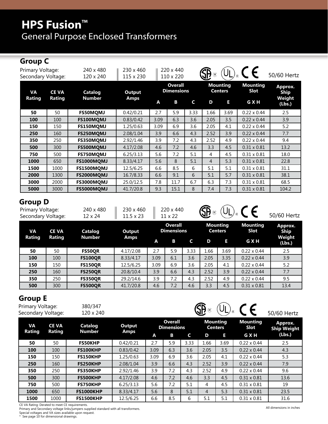# **HPS Fusion™** General Purpose Enclosed Transformers

## **Group C**

| Primary Voltage:<br>Secondary Voltage: |              | 240 x 480<br>120 x 240 | 230 x 460<br>115 x 230 |      | 220 x 440<br>110 x 220              |      | (R)  |                                   |                                | 50/60 Hertz            |
|----------------------------------------|--------------|------------------------|------------------------|------|-------------------------------------|------|------|-----------------------------------|--------------------------------|------------------------|
| <b>VA</b>                              | <b>CE VA</b> | Catalog                | Output                 |      | <b>Overall</b><br><b>Dimensions</b> |      |      | <b>Mounting</b><br><b>Centers</b> | <b>Mounting</b><br><b>Slot</b> | Approx.<br><b>Ship</b> |
| Rating                                 | Rating       | <b>Number</b>          | <b>Amps</b>            | A    | В                                   | C    | D    | Е                                 | G X H                          | Weight<br>(Lbs.)       |
| 50                                     | 50           | <b>FS50MQMJ</b>        | 0.42/0.21              | 2.7  | 5.9                                 | 3.33 | 1.66 | 3.69                              | $0.22 \times 0.44$             | 2.5                    |
| 100                                    | 100          | FS100MQMJ              | 0.83/0.42              | 3.09 | 6.3                                 | 3.6  | 2.05 | 3.5                               | $0.22 \times 0.44$             | 3.9                    |
| 150                                    | 150          | FS150MQMJ              | 1.25/0.63              | 3.09 | 6.9                                 | 3.6  | 2.05 | 4.1                               | $0.22 \times 0.44$             | 5.2                    |
| 250                                    | 160          | FS250MQMJ              | 2.08/1.04              | 3.9  | 6.6                                 | 4.3  | 2.52 | 3.9                               | $0.22 \times 0.44$             | 7.7                    |
| 350                                    | 250          | <b>FS350MOMJ</b>       | 2.92/1.46              | 3.9  | 7.2                                 | 4.3  | 2.52 | 4.9                               | $0.22 \times 0.44$             | 9.4                    |
| 500                                    | 300          | <b>FS500MOMJ</b>       | 4.17/2.08              | 4.6  | 7.2                                 | 4.6  | 3.3  | 4.5                               | $0.31 \times 0.81$             | 13.2                   |
| 750                                    | 500          | FS750MQMJ              | 6.25/3.13              | 5.6  | 7.2                                 | 5.1  | 4    | 4.5                               | $0.31 \times 0.81$             | 18.0                   |
| 1000                                   | 650          | <b>FS1000MQMJ</b>      | 8.33/4.17              | 5.6  | 8                                   | 5.1  | 4    | 5.3                               | $0.31 \times 0.81$             | 22.8                   |
| 1500                                   | 1000         | <b>FS1500MQMJ</b>      | 12.5/6.25              | 6.6  | 8.5                                 | 6    | 5.1  | 5.1                               | $0.31 \times 0.81$             | 31.1                   |
| 2000                                   | 1300         | <b>FS2000MQMJ</b>      | 16.7/8.33              | 6.6  | 9.1                                 | 6    | 5.1  | 5.7                               | $0.31 \times 0.81$             | 38.1                   |
| 3000                                   | 2000         | FS3000MQMJ             | 25.0/12.5              | 7.8  | 11.7                                | 6.7  | 6.3  | 7.3                               | $0.31 \times 0.81$             | 68.5                   |
| 5000                                   | 3000         | FS5000MQMJ             | 41.7/20.8              | 9.3  | 15.1                                | 8    | 7.4  | 7.3                               | $0.31 \times 0.81$             | 104.2                  |

#### **Group D**

| UIVUN D<br>Primary Voltage:<br>Secondary Voltage: |                        | 240 x 480<br>12 x 24     | 230 x 460<br>$11.5 \times 23$ |      | 220 x 440<br>$11 \times 22$         |      | <b>SB</b><br>$\cdot$ (R) |                                   | $\epsilon$              | 50/60 Hertz               |
|---------------------------------------------------|------------------------|--------------------------|-------------------------------|------|-------------------------------------|------|--------------------------|-----------------------------------|-------------------------|---------------------------|
| <b>VA</b><br><b>Rating</b>                        | <b>CE VA</b><br>Rating | Catalog<br><b>Number</b> | Output<br>Amps                |      | <b>Overall</b><br><b>Dimensions</b> |      |                          | <b>Mounting</b><br><b>Centers</b> | <b>Mounting</b><br>Slot | Approx.<br>Ship<br>Weight |
|                                                   |                        |                          |                               | A    | B                                   | C    | D                        | п                                 | <b>GXH</b>              | (Lbs.)                    |
| 50                                                | 50                     | <b>FS50QR</b>            | 4.17/2.08                     | 2.7  | 5.9                                 | 3.33 | 1.66                     | 3.69                              | $0.22 \times 0.44$      | 2.5                       |
| 100                                               | 100                    | <b>FS100QR</b>           | 8.33/4.17                     | 3.09 | 6.1                                 | 3.6  | 2.05                     | 3.35                              | $0.22 \times 0.44$      | 3.9                       |
| 150                                               | 150                    | <b>FS150QR</b>           | 12.5/6.25                     | 3.09 | 6.9                                 | 3.6  | 2.05                     | 4.1                               | $0.22 \times 0.44$      | 5.2                       |
| 250                                               | 160                    | <b>FS250QR</b>           | 20.8/10.4                     | 3.9  | 6.6                                 | 4.3  | 2.52                     | 3.9                               | $0.22 \times 0.44$      | 7.7                       |
| 350                                               | 250                    | <b>FS350QR</b>           | 29.2/14.6                     | 3.9  | 7.2                                 | 4.3  | 2.52                     | 4.9                               | $0.22 \times 0.44$      | 9.5                       |
| 500                                               | 300                    | <b>FS500QR</b>           | 41.7/20.8                     | 4.6  | 7.2                                 | 4.6  | 3.3                      | 4.5                               | $0.31 \times 0.81$      | 13.4                      |

#### **Group E**

| Primary Voltage:<br>Secondary Voltage: |               | 380/347<br>120 x 240 |           |      |                                     |      | (R)            |                                   |                         | 50/60 Hertz                   |
|----------------------------------------|---------------|----------------------|-----------|------|-------------------------------------|------|----------------|-----------------------------------|-------------------------|-------------------------------|
| <b>VA</b>                              | <b>CE VA</b>  | <b>Catalog</b>       | Output    |      | <b>Overall</b><br><b>Dimensions</b> |      |                | <b>Mounting</b><br><b>Centers</b> | <b>Mounting</b><br>Slot | Approx.<br><b>Ship Weight</b> |
| <b>Rating</b>                          | <b>Rating</b> | <b>Number</b>        | Amps      | A    | B                                   | C    | D              | E                                 | <b>GXH</b>              | (Lbs.)                        |
| 50                                     | 50            | <b>FS50KHP</b>       | 0.42/0.21 | 2.7  | 5.9                                 | 3.33 | 1.66           | 3.69                              | $0.22 \times 0.44$      | 2.5                           |
| 100                                    | 100           | <b>FS100KHP</b>      | 0.83/0.42 | 3.09 | 6.3                                 | 3.6  | 2.05           | 3.5                               | $0.22 \times 0.44$      | 4.3                           |
| 150                                    | 150           | <b>FS150KHP</b>      | 1.25/0.63 | 3.09 | 6.9                                 | 3.6  | 2.05           | 4.1                               | $0.22 \times 0.44$      | 5.3                           |
| 250                                    | 160           | <b>FS250KHP</b>      | 2.08/1.04 | 3.9  | 6.6                                 | 4.3  | 2.52           | 3.9                               | $0.22 \times 0.44$      | 7.9                           |
| 350                                    | 250           | <b>FS350KHP</b>      | 2.92/1.46 | 3.9  | 7.2                                 | 4.3  | 2.52           | 4.9                               | $0.22 \times 0.44$      | 9.6                           |
| 500                                    | 300           | <b>FS500KHP</b>      | 4.17/2.08 | 4.6  | 7.2                                 | 4.6  | 3.3            | 4.5                               | $0.31 \times 0.81$      | 13.6                          |
| 750                                    | 500           | <b>FS750KHP</b>      | 6.25/3.13 | 5.6  | 7.2                                 | 5.1  | 4              | 4.5                               | $0.31 \times 0.81$      | 19                            |
| 1000                                   | 650           | <b>FS1000KHP</b>     | 8.33/4.17 | 5.6  | 8                                   | 5.1  | $\overline{4}$ | 5.3                               | $0.31 \times 0.81$      | 23.5                          |
| 1500                                   | 1000          | <b>FS1500KHP</b>     | 12.5/6.25 | 6.6  | 8.5                                 | 6    | 5.1            | 5.1                               | $0.31 \times 0.81$      | 31.6                          |

CE VA Rating: Derated to meet CE requirements.<br>Primary and Secondary voltage links/jumpers supplied standard with all transformers.<br>Special voltages and VA sizes available upon request.<br>\* See page 10 for dimensional drawin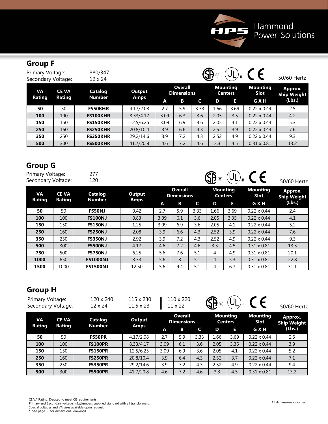

## **Group F**

| Primary Voltage:<br>Secondary Voltage: |                        | 380/347<br>$12 \times 24$ |           |      |                              |      | $\left( \mathsf{R}\right)$ |                                   |                         | 50/60 Hertz            |
|----------------------------------------|------------------------|---------------------------|-----------|------|------------------------------|------|----------------------------|-----------------------------------|-------------------------|------------------------|
| VА<br>Rating                           | <b>CE VA</b><br>Rating | Catalog<br><b>Number</b>  | Output    |      | Overall<br><b>Dimensions</b> |      |                            | <b>Mounting</b><br><b>Centers</b> | <b>Mounting</b><br>Slot | Approx.<br>Ship Weight |
|                                        |                        |                           | Amps      | A    | В                            | C    | D                          | E                                 | <b>GXH</b>              | (Lbs.)                 |
| 50                                     | 50                     | <b>FS50KHR</b>            | 4.17/2.08 | 2.7  | 5.9                          | 3.33 | 1.66                       | 3.69                              | $0.22 \times 0.44$      | 2.5                    |
| 100                                    | 100                    | <b>FS100KHR</b>           | 8.33/4.17 | 3.09 | 6.3                          | 3.6  | 2.05                       | 3.5                               | $0.22 \times 0.44$      | 4.2                    |
| 150                                    | 150                    | <b>FS150KHR</b>           | 12.5/6.25 | 3.09 | 6.9                          | 3.6  | 2.05                       | 4.1                               | $0.22 \times 0.44$      | 5.3                    |
| 250                                    | 160                    | <b>FS250KHR</b>           | 20.8/10.4 | 3.9  | 6.6                          | 4.3  | 2.52                       | 3.9                               | $0.22 \times 0.44$      | 7.6                    |
| 350                                    | 250                    | <b>FS350KHR</b>           | 29.2/14.6 | 3.9  | 7.2                          | 4.3  | 2.52                       | 4.9                               | $0.22 \times 0.44$      | 9.3                    |
| 500                                    | 300                    | <b>FS500KHR</b>           | 41.7/20.8 | 4.6  | 7.2                          | 4.6  | 3.3                        | 4.5                               | $0.31 \times 0.81$      | 13.2                   |

#### **Group G**

| Primary Voltage:<br>Secondary Voltage: |              | 277<br>120               |             |      |                              |      | (R)  |                                   | $\epsilon$              | 50/60 Hertz                   |
|----------------------------------------|--------------|--------------------------|-------------|------|------------------------------|------|------|-----------------------------------|-------------------------|-------------------------------|
| <b>VA</b>                              | <b>CE VA</b> | Catalog<br><b>Number</b> | Output      |      | Overall<br><b>Dimensions</b> |      |      | <b>Mounting</b><br><b>Centers</b> | <b>Mounting</b><br>Slot | Approx.<br><b>Ship Weight</b> |
| Rating                                 | Rating       |                          | <b>Amps</b> | A    | B                            | C    | D    | Е                                 | G X H                   | (Lbs.)                        |
| 50                                     | 50           | <b>FS50NJ</b>            | 0.42        | 2.7  | 5.9                          | 3.33 | 1.66 | 3.69                              | $0.22 \times 0.44$      | 2.4                           |
| 100                                    | 100          | <b>FS100NJ</b>           | 0.83        | 3.09 | 6.1                          | 3.6  | 2.05 | 3.35                              | $0.22 \times 0.44$      | 4.1                           |
| 150                                    | 150          | <b>FS150NJ</b>           | 1.25        | 3.09 | 6.9                          | 3.6  | 2.05 | 4.1                               | $0.22 \times 0.44$      | 5.2                           |
| 250                                    | 160          | <b>FS250NJ</b>           | 2.08        | 3.9  | 6.6                          | 4.3  | 2.52 | 3.9                               | $0.22 \times 0.44$      | 7.6                           |
| 350                                    | 250          | <b>FS350NJ</b>           | 2.92        | 3.9  | 7.2                          | 4.3  | 2.52 | 4.9                               | $0.22 \times 0.44$      | 9.3                           |
| 500                                    | 300          | <b>FS500NJ</b>           | 4.17        | 4.6  | 7.2                          | 4.6  | 3.3  | 4.5                               | $0.31 \times 0.81$      | 13.3                          |
| 750                                    | 500          | <b>FS750NJ</b>           | 6.25        | 5.6  | 7.6                          | 5.1  | 4    | 4.9                               | $0.31 \times 0.81$      | 20.1                          |
| 1000                                   | 650          | <b>FS1000NJ</b>          | 8.33        | 5.6  | 8                            | 5.1  | 4    | 5.3                               | $0.31 \times 0.81$      | 22.8                          |
| 1500                                   | 1000         | <b>FS1500NJ</b>          | 12.50       | 5.6  | 9.4                          | 5.1  | 4    | 6.7                               | $0.31 \times 0.81$      | 31.1                          |

## **Group H**

| Primary Voltage:<br>Secondary Voltage: |                        | 120 x 240<br>$12 \times 24$ | 115 x 230<br>$11.5 \times 23$ |      | 110 x 220<br>11 x 22                |      | <b>SB</b><br>(R) |                                   |                         | 50/60 Hertz                          |
|----------------------------------------|------------------------|-----------------------------|-------------------------------|------|-------------------------------------|------|------------------|-----------------------------------|-------------------------|--------------------------------------|
| VA<br>Rating                           | <b>CE VA</b><br>Rating | Catalog<br><b>Number</b>    | Output<br><b>Amps</b>         |      | <b>Overall</b><br><b>Dimensions</b> |      |                  | <b>Mounting</b><br><b>Centers</b> | <b>Mounting</b><br>Slot | <b>Approx.</b><br><b>Ship Weight</b> |
|                                        |                        |                             |                               | A    | B                                   | C    | D                | Е                                 | <b>GXH</b>              | (Lbs.)                               |
| 50                                     | 50                     | <b>FS50PR</b>               | 4.17/2.08                     | 2.7  | 5.9                                 | 3.33 | 1.66             | 3.69                              | $0.22 \times 0.44$      | 2.5                                  |
| 100                                    | 100                    | <b>FS100PR</b>              | 8.33/4.17                     | 3.09 | 6.1                                 | 3.6  | 2.05             | 3.35                              | $0.22 \times 0.44$      | 3.9                                  |
| 150                                    | 150                    | <b>FS150PR</b>              | 12.5/6.25                     | 3.09 | 6.9                                 | 3.6  | 2.05             | 4.1                               | $0.22 \times 0.44$      | 5.2                                  |
| 250                                    | 160                    | <b>FS250PR</b>              | 20.8/10.4                     | 3.9  | 6.4                                 | 4.3  | 2.52             | 3.7                               | $0.22 \times 0.44$      | 7.1                                  |
| 350                                    | 250                    | <b>FS350PR</b>              | 29.2/14.6                     | 3.9  | 7.2                                 | 4.3  | 2.52             | 4.9                               | $0.22 \times 0.44$      | 9.4                                  |
| 500                                    | 300                    | <b>FS500PR</b>              | 41.7/20.8                     | 4.6  | 7.2                                 | 4.6  | 3.3              | 4.5                               | $0.31 \times 0.81$      | 13.2                                 |

CE VA Rating: Derated to meet CE requirements.

Primary and Secondary voltage links/jumpers supplied standard with all transformers.<br>Special voltages and VA sizes available upon request.<br>\* See page 10 for dimensional drawings.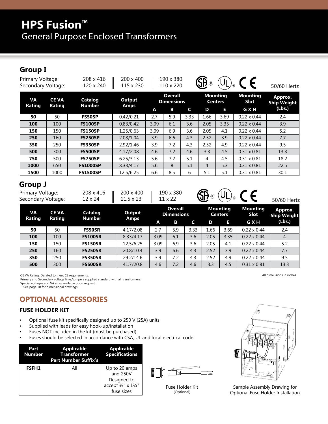# **HPS Fusion™** General Purpose Enclosed Transformers

## **Group I**

| Primary Voltage:<br>Secondary Voltage: |                        | 208 x 416<br>120 x 240          | 200 x 400<br>115 x 230 |      | 190 x 380<br>110 x 220              |      | <b>SP</b> |                                   | CE                      | 50/60 Hertz                   |
|----------------------------------------|------------------------|---------------------------------|------------------------|------|-------------------------------------|------|-----------|-----------------------------------|-------------------------|-------------------------------|
| <b>VA</b><br>Rating                    | <b>CE VA</b><br>Rating | <b>Catalog</b><br><b>Number</b> | <b>Output</b>          |      | <b>Overall</b><br><b>Dimensions</b> |      |           | <b>Mounting</b><br><b>Centers</b> | <b>Mounting</b><br>Slot | Approx.<br><b>Ship Weight</b> |
|                                        |                        |                                 | <b>Amps</b>            | A    | В                                   | C    | D         | E.                                | G X H                   | (Lbs.)                        |
| 50                                     | 50                     | <b>FS50SP</b>                   | 0.42/0.21              | 2.7  | 5.9                                 | 3.33 | 1.66      | 3.69                              | $0.22 \times 0.44$      | 2.4                           |
| 100                                    | 100                    | <b>FS100SP</b>                  | 0.83/0.42              | 3.09 | 6.1                                 | 3.6  | 2.05      | 3.35                              | $0.22 \times 0.44$      | 3.9                           |
| 150                                    | 150                    | <b>FS150SP</b>                  | 1.25/0.63              | 3.09 | 6.9                                 | 3.6  | 2.05      | 4.1                               | $0.22 \times 0.44$      | 5.2                           |
| 250                                    | 160                    | <b>FS250SP</b>                  | 2.08/1.04              | 3.9  | 6.6                                 | 4.3  | 2.52      | 3.9                               | $0.22 \times 0.44$      | 7.7                           |
| 350                                    | 250                    | <b>FS350SP</b>                  | 2.92/1.46              | 3.9  | 7.2                                 | 4.3  | 2.52      | 4.9                               | $0.22 \times 0.44$      | 9.5                           |
| 500                                    | 300                    | <b>FS500SP</b>                  | 4.17/2.08              | 4.6  | 7.2                                 | 4.6  | 3.3       | 4.5                               | $0.31 \times 0.81$      | 13.3                          |
| 750                                    | 500                    | <b>FS750SP</b>                  | 6.25/3.13              | 5.6  | 7.2                                 | 5.1  | 4         | 4.5                               | $0.31 \times 0.81$      | 18.2                          |
| 1000                                   | 650                    | <b>FS1000SP</b>                 | 8.33/4.17              | 5.6  | 8                                   | 5.1  | 4         | 5.3                               | $0.31 \times 0.81$      | 22.5                          |
| 1500                                   | 1000                   | <b>FS1500SP</b>                 | 12.5/6.25              | 6.6  | 8.5                                 | 6    | 5.1       | 5.1                               | $0.31 \times 0.81$      | 30.1                          |
| <b>Group J</b>                         |                        |                                 |                        |      |                                     |      |           |                                   |                         |                               |

| Primary Voltage:   | 208 x 416    200 x 400    190 x 380  | $\bigoplus_{\mathbb{R}}$ $\bigoplus_{\mathbb{R}}$ $\bigoplus_{\mathbb{R}}$ $\bigoplus$ $\bigoplus$ |             |
|--------------------|--------------------------------------|----------------------------------------------------------------------------------------------------|-------------|
| Secondary Voltage: | $12 \times 24$   11.5 x 23   11 x 22 |                                                                                                    | 50/60 Hertz |

| VA<br><b>Rating</b> | <b>CE VA</b><br>Rating | Catalog<br><b>Number</b> | Output      |      | <b>Overall</b><br><b>Dimensions</b> |      |      | <b>Mounting</b><br><b>Centers</b> | <b>Mounting</b><br>Slot | <b>Approx.</b><br><b>Ship Weight</b> |
|---------------------|------------------------|--------------------------|-------------|------|-------------------------------------|------|------|-----------------------------------|-------------------------|--------------------------------------|
|                     |                        |                          | <b>Amps</b> | A    | B.                                  |      | D    | E                                 | <b>GXH</b>              | (Lbs.)                               |
| 50                  | 50                     | <b>FS50SR</b>            | 4.17/2.08   | 2.7  | 5.9                                 | 3.33 | 1.66 | 3.69                              | $0.22 \times 0.44$      | 2.4                                  |
| 100                 | 100                    | <b>FS100SR</b>           | 8.33/4.17   | 3.09 | 6.1                                 | 3.6  | 2.05 | 3.35                              | $0.22 \times 0.44$      | $\overline{4}$                       |
| 150                 | 150                    | <b>FS150SR</b>           | 12.5/6.25   | 3.09 | 6.9                                 | 3.6  | 2.05 | 4.1                               | $0.22 \times 0.44$      | 5.2                                  |
| 250                 | 160                    | <b>FS250SR</b>           | 20.8/10.4   | 3.9  | 6.6                                 | 4.3  | 2.52 | 3.9                               | $0.22 \times 0.44$      | 7.7                                  |
| 350                 | 250                    | <b>FS350SR</b>           | 29.2/14.6   | 3.9  | 7.2                                 | 4.3  | 2.52 | 4.9                               | $0.22 \times 0.44$      | 9.5                                  |
| 500                 | 300                    | <b>FS500SR</b>           | 41.7/20.8   | 4.6  | 7.2                                 | 4.6  | 3.3  | 4.5                               | $0.31 \times 0.81$      | 13.3                                 |

CE VA Rating: Derated to meet CE requirements.

Primary and Secondary voltage links/jumpers supplied standard with all transformers.<br>Special voltages and VA sizes available upon request.<br>\* See page 10 for dimensional drawings.

#### **OPTIONAL ACCESSORIES**

#### **FUSE HOLDER KIT**

- Optional fuse kit specifically designed up to 250 V (25A) units
- Supplied with leads for easy hook-up/installation
- Fuses NOT included in the kit (must be purchased)
- Fuses should be selected in accordance with CSA, UL and local electrical code

| Part<br><b>Number</b> | <b>Applicable</b><br><b>Transformer</b><br><b>Part Number Suffix's</b> | <b>Applicable</b><br><b>Specifications</b>                                                        |  |
|-----------------------|------------------------------------------------------------------------|---------------------------------------------------------------------------------------------------|--|
| <b>FSFH1</b>          | All                                                                    | Up to 20 amps<br>and 250V<br>Designed to<br>accept $\frac{1}{4}$ x $1\frac{1}{4}$ "<br>fuse sizes |  |



Fuse Holder Kit (Optional)



Sample Assembly Drawing for Optional Fuse Holder Installation

All dimensions in inches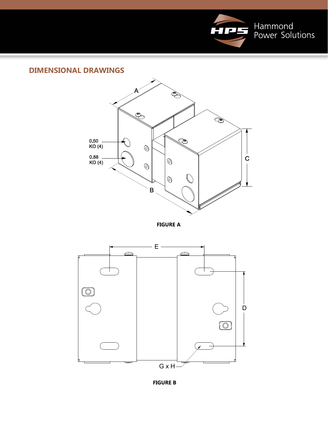

#### **DIMENSIONAL DRAWINGS**



**FIGURE A**



**FIGURE B**